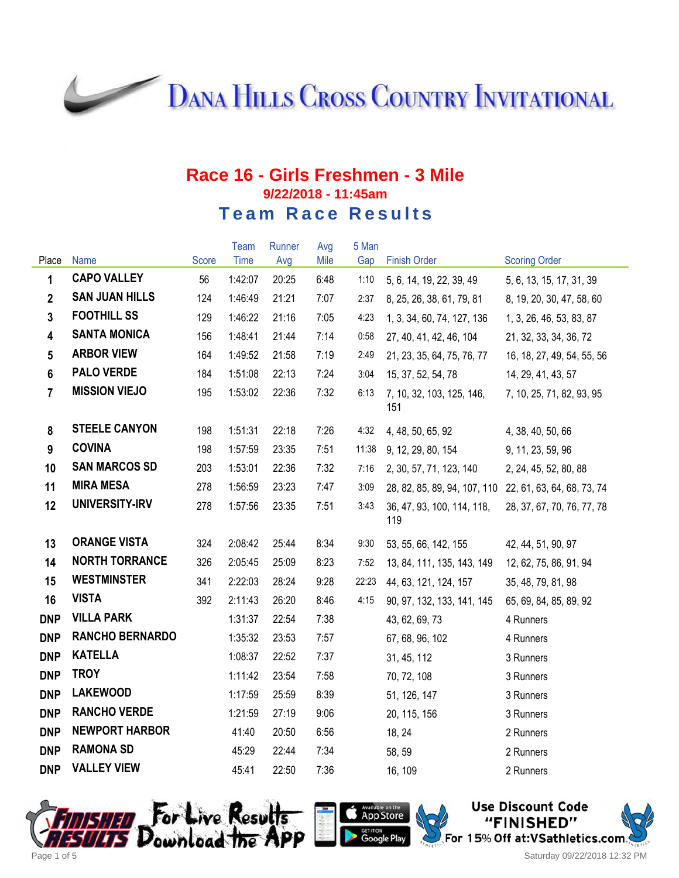**DANA HILLS CROSS COUNTRY INVITATIONAL** 

#### **Race 16 - Girls Freshmen - 3 Mile 9/22/2018 - 11:45am Team Race Results**

|                 |                        |       | Team    | Runner | Avg  | 5 Man |                                   |                            |
|-----------------|------------------------|-------|---------|--------|------|-------|-----------------------------------|----------------------------|
| Place           | Name                   | Score | Time    | Avg    | Mile | Gap   | <b>Finish Order</b>               | <b>Scoring Order</b>       |
| 1               | <b>CAPO VALLEY</b>     | 56    | 1:42:07 | 20:25  | 6:48 | 1:10  | 5, 6, 14, 19, 22, 39, 49          | 5, 6, 13, 15, 17, 31, 39   |
| $\mathbf{2}$    | <b>SAN JUAN HILLS</b>  | 124   | 1:46:49 | 21:21  | 7:07 | 2:37  | 8, 25, 26, 38, 61, 79, 81         | 8, 19, 20, 30, 47, 58, 60  |
| $\mathbf{3}$    | <b>FOOTHILL SS</b>     | 129   | 1:46:22 | 21:16  | 7:05 | 4:23  | 1, 3, 34, 60, 74, 127, 136        | 1, 3, 26, 46, 53, 83, 87   |
| 4               | <b>SANTA MONICA</b>    | 156   | 1:48:41 | 21:44  | 7:14 | 0:58  | 27, 40, 41, 42, 46, 104           | 21, 32, 33, 34, 36, 72     |
| $5\phantom{.0}$ | <b>ARBOR VIEW</b>      | 164   | 1:49:52 | 21:58  | 7:19 | 2:49  | 21, 23, 35, 64, 75, 76, 77        | 16, 18, 27, 49, 54, 55, 56 |
| $6\phantom{a}$  | <b>PALO VERDE</b>      | 184   | 1:51:08 | 22:13  | 7:24 | 3:04  | 15, 37, 52, 54, 78                | 14, 29, 41, 43, 57         |
| $\overline{7}$  | <b>MISSION VIEJO</b>   | 195   | 1:53:02 | 22:36  | 7:32 | 6:13  | 7, 10, 32, 103, 125, 146,<br>151  | 7, 10, 25, 71, 82, 93, 95  |
| 8               | <b>STEELE CANYON</b>   | 198   | 1:51:31 | 22:18  | 7:26 | 4:32  | 4, 48, 50, 65, 92                 | 4, 38, 40, 50, 66          |
| 9               | <b>COVINA</b>          | 198   | 1:57:59 | 23:35  | 7:51 | 11:38 | 9, 12, 29, 80, 154                | 9, 11, 23, 59, 96          |
| 10              | <b>SAN MARCOS SD</b>   | 203   | 1:53:01 | 22:36  | 7:32 | 7:16  | 2, 30, 57, 71, 123, 140           | 2, 24, 45, 52, 80, 88      |
| 11              | <b>MIRA MESA</b>       | 278   | 1:56:59 | 23:23  | 7:47 | 3:09  | 28, 82, 85, 89, 94, 107, 110      | 22, 61, 63, 64, 68, 73, 74 |
| 12              | UNIVERSITY-IRV         | 278   | 1:57:56 | 23:35  | 7:51 | 3:43  | 36, 47, 93, 100, 114, 118,<br>119 | 28, 37, 67, 70, 76, 77, 78 |
| 13              | <b>ORANGE VISTA</b>    | 324   | 2:08:42 | 25:44  | 8:34 | 9:30  | 53, 55, 66, 142, 155              | 42, 44, 51, 90, 97         |
| 14              | <b>NORTH TORRANCE</b>  | 326   | 2:05:45 | 25:09  | 8:23 | 7:52  | 13, 84, 111, 135, 143, 149        | 12, 62, 75, 86, 91, 94     |
| 15              | <b>WESTMINSTER</b>     | 341   | 2:22:03 | 28:24  | 9:28 | 22:23 | 44, 63, 121, 124, 157             | 35, 48, 79, 81, 98         |
| 16              | <b>VISTA</b>           | 392   | 2:11:43 | 26:20  | 8:46 | 4:15  | 90, 97, 132, 133, 141, 145        | 65, 69, 84, 85, 89, 92     |
| <b>DNP</b>      | <b>VILLA PARK</b>      |       | 1:31:37 | 22:54  | 7:38 |       | 43, 62, 69, 73                    | 4 Runners                  |
| <b>DNP</b>      | <b>RANCHO BERNARDO</b> |       | 1:35:32 | 23:53  | 7:57 |       | 67, 68, 96, 102                   | 4 Runners                  |
| <b>DNP</b>      | <b>KATELLA</b>         |       | 1:08:37 | 22:52  | 7:37 |       | 31, 45, 112                       | 3 Runners                  |
| <b>DNP</b>      | <b>TROY</b>            |       | 1:11:42 | 23:54  | 7:58 |       | 70, 72, 108                       | 3 Runners                  |
| <b>DNP</b>      | <b>LAKEWOOD</b>        |       | 1:17:59 | 25:59  | 8:39 |       | 51, 126, 147                      | 3 Runners                  |
| <b>DNP</b>      | <b>RANCHO VERDE</b>    |       | 1:21:59 | 27:19  | 9:06 |       | 20, 115, 156                      | 3 Runners                  |
| <b>DNP</b>      | <b>NEWPORT HARBOR</b>  |       | 41:40   | 20:50  | 6:56 |       | 18, 24                            | 2 Runners                  |
| <b>DNP</b>      | <b>RAMONA SD</b>       |       | 45:29   | 22:44  | 7:34 |       | 58, 59                            | 2 Runners                  |
| <b>DNP</b>      | <b>VALLEY VIEW</b>     |       | 45:41   | 22:50  | 7:36 |       | 16, 109                           | 2 Runners                  |







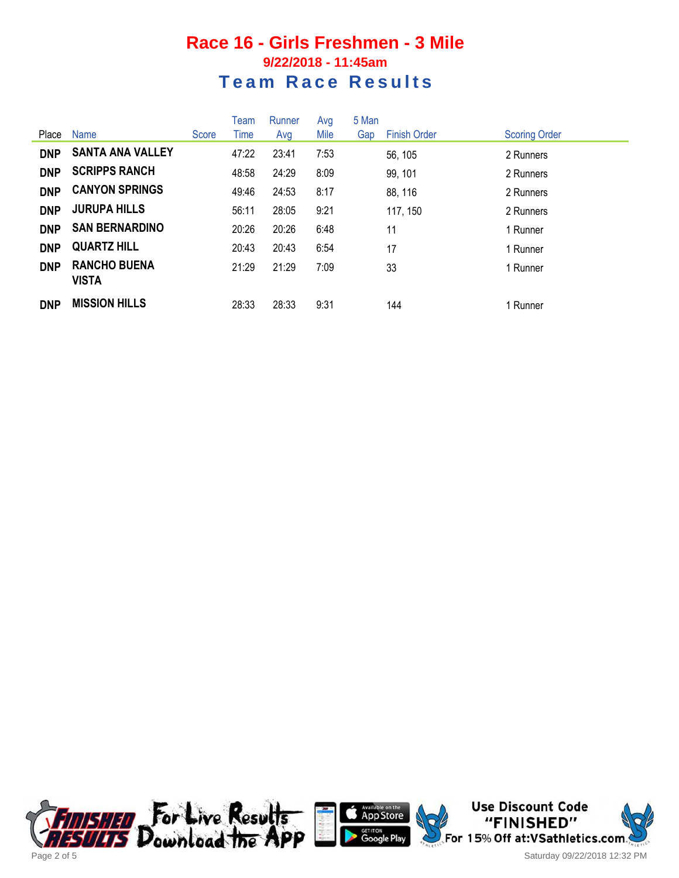## **Race 16 - Girls Freshmen - 3 Mile 9/22/2018 - 11:45am Team Race Results**

|            |                                     |       | Team  | Runner | Avg  | 5 Man |                     |                      |
|------------|-------------------------------------|-------|-------|--------|------|-------|---------------------|----------------------|
| Place      | Name                                | Score | Time  | Avg    | Mile | Gap   | <b>Finish Order</b> | <b>Scoring Order</b> |
| <b>DNP</b> | <b>SANTA ANA VALLEY</b>             |       | 47:22 | 23:41  | 7:53 |       | 56, 105             | 2 Runners            |
| <b>DNP</b> | <b>SCRIPPS RANCH</b>                |       | 48:58 | 24:29  | 8:09 |       | 99, 101             | 2 Runners            |
| <b>DNP</b> | <b>CANYON SPRINGS</b>               |       | 49:46 | 24:53  | 8:17 |       | 88, 116             | 2 Runners            |
| <b>DNP</b> | <b>JURUPA HILLS</b>                 |       | 56:11 | 28:05  | 9:21 |       | 117, 150            | 2 Runners            |
| <b>DNP</b> | <b>SAN BERNARDINO</b>               |       | 20:26 | 20:26  | 6:48 |       | 11                  | 1 Runner             |
| <b>DNP</b> | <b>QUARTZ HILL</b>                  |       | 20:43 | 20:43  | 6:54 |       | 17                  | 1 Runner             |
| <b>DNP</b> | <b>RANCHO BUENA</b><br><b>VISTA</b> |       | 21:29 | 21:29  | 7:09 |       | 33                  | 1 Runner             |
| <b>DNP</b> | <b>MISSION HILLS</b>                |       | 28:33 | 28:33  | 9:31 |       | 144                 | 1 Runner             |





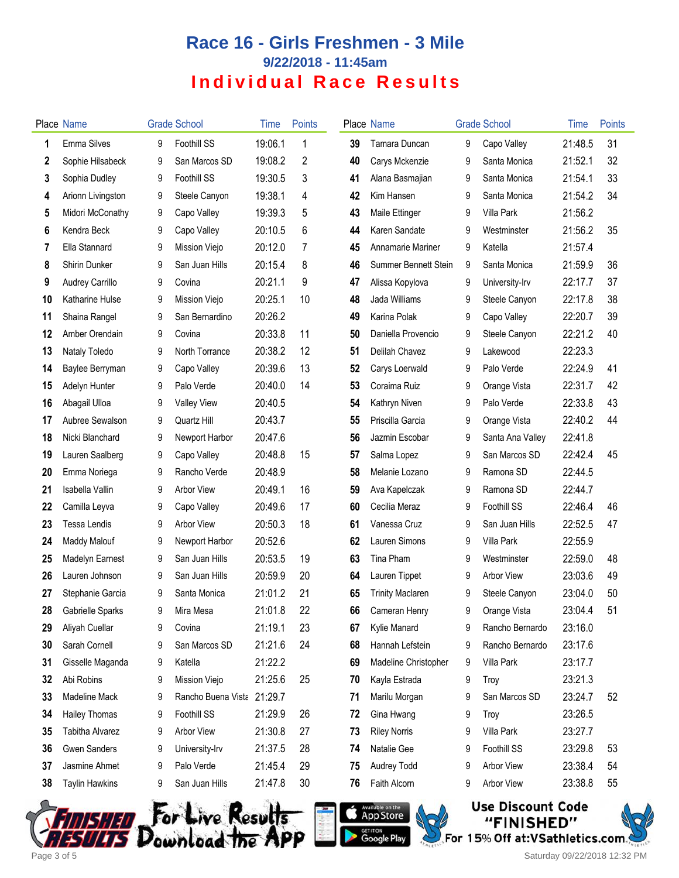## **Race 16 - Girls Freshmen - 3 Mile 9/22/2018 - 11:45am Individual Race Results**

|    | Place Name             |   | <b>Grade School</b> | Time    | <b>Points</b> |    | Place Name              |   | <b>Grade School</b> | Time    | <b>Points</b> |
|----|------------------------|---|---------------------|---------|---------------|----|-------------------------|---|---------------------|---------|---------------|
| 1  | Emma Silves            | 9 | Foothill SS         | 19:06.1 | 1             | 39 | Tamara Duncan           | 9 | Capo Valley         | 21:48.5 | 31            |
| 2  | Sophie Hilsabeck       | 9 | San Marcos SD       | 19:08.2 | 2             | 40 | Carys Mckenzie          | 9 | Santa Monica        | 21:52.1 | 32            |
| 3  | Sophia Dudley          | 9 | Foothill SS         | 19:30.5 | 3             | 41 | Alana Basmajian         | 9 | Santa Monica        | 21:54.1 | 33            |
| 4  | Arionn Livingston      | 9 | Steele Canyon       | 19:38.1 | 4             | 42 | Kim Hansen              | 9 | Santa Monica        | 21:54.2 | 34            |
| 5  | Midori McConathy       | 9 | Capo Valley         | 19:39.3 | 5             | 43 | Maile Ettinger          | 9 | Villa Park          | 21:56.2 |               |
| 6  | Kendra Beck            | 9 | Capo Valley         | 20:10.5 | 6             | 44 | Karen Sandate           | 9 | Westminster         | 21:56.2 | 35            |
| 7  | Ella Stannard          | 9 | Mission Viejo       | 20:12.0 | 7             | 45 | Annamarie Mariner       | 9 | Katella             | 21:57.4 |               |
| 8  | Shirin Dunker          | 9 | San Juan Hills      | 20:15.4 | 8             | 46 | Summer Bennett Stein    | 9 | Santa Monica        | 21:59.9 | 36            |
| 9  | Audrey Carrillo        | 9 | Covina              | 20:21.1 | 9             | 47 | Alissa Kopylova         | 9 | University-Irv      | 22:17.7 | 37            |
| 10 | <b>Katharine Hulse</b> | 9 | Mission Viejo       | 20:25.1 | 10            | 48 | Jada Williams           | 9 | Steele Canyon       | 22:17.8 | 38            |
| 11 | Shaina Rangel          | 9 | San Bernardino      | 20:26.2 |               | 49 | Karina Polak            | 9 | Capo Valley         | 22:20.7 | 39            |
| 12 | Amber Orendain         | 9 | Covina              | 20:33.8 | 11            | 50 | Daniella Provencio      | 9 | Steele Canyon       | 22:21.2 | 40            |
| 13 | Nataly Toledo          | 9 | North Torrance      | 20:38.2 | 12            | 51 | Delilah Chavez          | 9 | Lakewood            | 22:23.3 |               |
| 14 | Baylee Berryman        | 9 | Capo Valley         | 20:39.6 | 13            | 52 | Carys Loerwald          | 9 | Palo Verde          | 22:24.9 | 41            |
| 15 | Adelyn Hunter          | 9 | Palo Verde          | 20:40.0 | 14            | 53 | Coraima Ruiz            | 9 | Orange Vista        | 22:31.7 | 42            |
| 16 | Abagail Ulloa          | 9 | <b>Valley View</b>  | 20:40.5 |               | 54 | Kathryn Niven           | 9 | Palo Verde          | 22:33.8 | 43            |
| 17 | Aubree Sewalson        | 9 | Quartz Hill         | 20:43.7 |               | 55 | Priscilla Garcia        | 9 | Orange Vista        | 22:40.2 | 44            |
| 18 | Nicki Blanchard        | 9 | Newport Harbor      | 20:47.6 |               | 56 | Jazmin Escobar          | 9 | Santa Ana Valley    | 22:41.8 |               |
| 19 | Lauren Saalberg        | 9 | Capo Valley         | 20:48.8 | 15            | 57 | Salma Lopez             | 9 | San Marcos SD       | 22:42.4 | 45            |
| 20 | Emma Noriega           | 9 | Rancho Verde        | 20:48.9 |               | 58 | Melanie Lozano          | 9 | Ramona SD           | 22:44.5 |               |
| 21 | Isabella Vallin        | 9 | <b>Arbor View</b>   | 20:49.1 | 16            | 59 | Ava Kapelczak           | 9 | Ramona SD           | 22:44.7 |               |
| 22 | Camilla Leyva          | 9 | Capo Valley         | 20:49.6 | 17            | 60 | Cecilia Meraz           | 9 | Foothill SS         | 22:46.4 | 46            |
| 23 | Tessa Lendis           | 9 | <b>Arbor View</b>   | 20:50.3 | 18            | 61 | Vanessa Cruz            | 9 | San Juan Hills      | 22:52.5 | 47            |
| 24 | Maddy Malouf           | 9 | Newport Harbor      | 20:52.6 |               | 62 | Lauren Simons           | 9 | Villa Park          | 22:55.9 |               |
| 25 | <b>Madelyn Earnest</b> | 9 | San Juan Hills      | 20:53.5 | 19            | 63 | Tina Pham               | 9 | Westminster         | 22:59.0 | 48            |
| 26 | Lauren Johnson         | 9 | San Juan Hills      | 20:59.9 | 20            | 64 | Lauren Tippet           | 9 | Arbor View          | 23:03.6 | 49            |
| 27 | Stephanie Garcia       | 9 | Santa Monica        | 21:01.2 | 21            | 65 | <b>Trinity Maclaren</b> | 9 | Steele Canyon       | 23:04.0 | 50            |
| 28 | Gabrielle Sparks       | 9 | Mira Mesa           | 21:01.8 | 22            | 66 | Cameran Henry           | 9 | Orange Vista        | 23:04.4 | 51            |
| 29 | Aliyah Cuellar         | 9 | Covina              | 21:19.1 | 23            | 67 | Kylie Manard            | 9 | Rancho Bernardo     | 23:16.0 |               |
| 30 | Sarah Cornell          | 9 | San Marcos SD       | 21:21.6 | 24            | 68 | Hannah Lefstein         | 9 | Rancho Bernardo     | 23:17.6 |               |
| 31 | Gisselle Maganda       | 9 | Katella             | 21:22.2 |               | 69 | Madeline Christopher    | 9 | Villa Park          | 23:17.7 |               |
| 32 | Abi Robins             | 9 | Mission Viejo       | 21:25.6 | 25            | 70 | Kayla Estrada           | 9 | Troy                | 23:21.3 |               |
| 33 | <b>Madeline Mack</b>   | 9 | Rancho Buena Vista  | 21:29.7 |               | 71 | Marilu Morgan           | 9 | San Marcos SD       | 23:24.7 | 52            |
| 34 | <b>Hailey Thomas</b>   | 9 | Foothill SS         | 21:29.9 | 26            | 72 | Gina Hwang              | 9 | Troy                | 23:26.5 |               |
| 35 | Tabitha Alvarez        | 9 | <b>Arbor View</b>   | 21:30.8 | 27            | 73 | <b>Riley Norris</b>     | 9 | Villa Park          | 23:27.7 |               |
| 36 | <b>Gwen Sanders</b>    | 9 | University-Irv      | 21:37.5 | 28            | 74 | Natalie Gee             | 9 | Foothill SS         | 23:29.8 | 53            |
| 37 | Jasmine Ahmet          | 9 | Palo Verde          | 21:45.4 | 29            | 75 | Audrey Todd             | 9 | Arbor View          | 23:38.4 | 54            |
| 38 | <b>Taylin Hawkins</b>  | 9 | San Juan Hills      | 21:47.8 | 30            | 76 | Faith Alcorn            | 9 | Arbor View          | 23:38.8 | 55            |
|    |                        |   |                     |         |               |    |                         |   |                     |         |               |





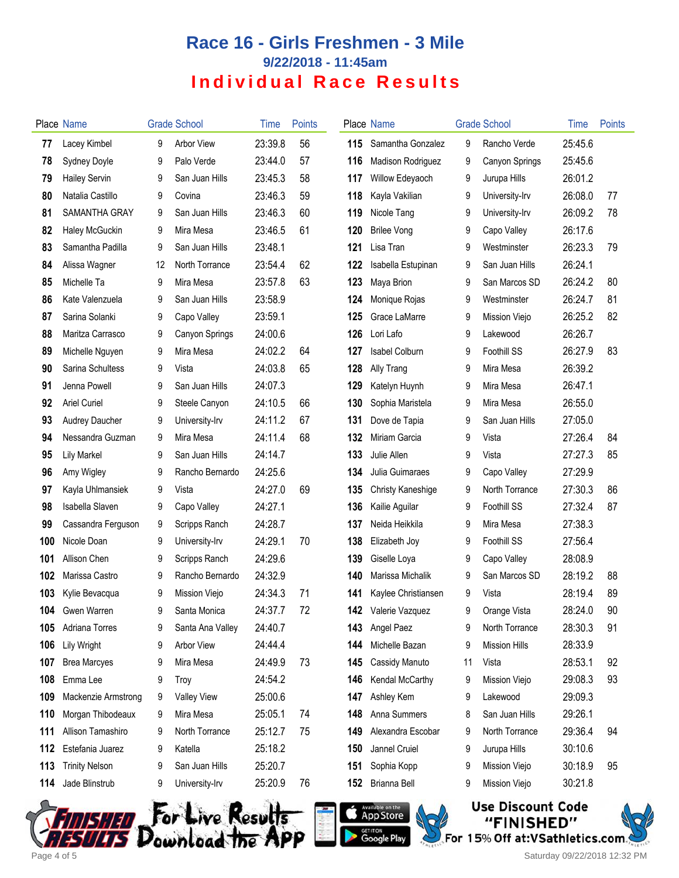## **Race 16 - Girls Freshmen - 3 Mile 9/22/2018 - 11:45am Individual Race Results**

|     | Place Name            |    | <b>Grade School</b> | Time    | <b>Points</b> |     | Place Name               |    | <b>Grade School</b>  | Time    | <b>Points</b> |
|-----|-----------------------|----|---------------------|---------|---------------|-----|--------------------------|----|----------------------|---------|---------------|
| 77  | Lacey Kimbel          | 9  | <b>Arbor View</b>   | 23:39.8 | 56            | 115 | Samantha Gonzalez        | 9  | Rancho Verde         | 25:45.6 |               |
| 78  | Sydney Doyle          | 9  | Palo Verde          | 23:44.0 | 57            | 116 | <b>Madison Rodriguez</b> | 9  | Canyon Springs       | 25:45.6 |               |
| 79  | <b>Hailey Servin</b>  | 9  | San Juan Hills      | 23:45.3 | 58            | 117 | Willow Edeyaoch          | 9  | Jurupa Hills         | 26:01.2 |               |
| 80  | Natalia Castillo      | 9  | Covina              | 23:46.3 | 59            | 118 | Kayla Vakilian           | 9  | University-Irv       | 26:08.0 | 77            |
| 81  | SAMANTHA GRAY         | 9  | San Juan Hills      | 23:46.3 | 60            | 119 | Nicole Tang              | 9  | University-Irv       | 26:09.2 | 78            |
| 82  | Haley McGuckin        | 9  | Mira Mesa           | 23:46.5 | 61            | 120 | <b>Brilee Vong</b>       | 9  | Capo Valley          | 26:17.6 |               |
| 83  | Samantha Padilla      | 9  | San Juan Hills      | 23:48.1 |               | 121 | Lisa Tran                | 9  | Westminster          | 26:23.3 | 79            |
| 84  | Alissa Wagner         | 12 | North Torrance      | 23:54.4 | 62            | 122 | Isabella Estupinan       | 9  | San Juan Hills       | 26:24.1 |               |
| 85  | Michelle Ta           | 9  | Mira Mesa           | 23:57.8 | 63            | 123 | Maya Brion               | 9  | San Marcos SD        | 26:24.2 | 80            |
| 86  | Kate Valenzuela       | 9  | San Juan Hills      | 23:58.9 |               | 124 | Monique Rojas            | 9  | Westminster          | 26:24.7 | 81            |
| 87  | Sarina Solanki        | 9  | Capo Valley         | 23:59.1 |               | 125 | Grace LaMarre            | 9  | Mission Viejo        | 26:25.2 | 82            |
| 88  | Maritza Carrasco      | 9  | Canyon Springs      | 24:00.6 |               | 126 | Lori Lafo                | 9  | Lakewood             | 26:26.7 |               |
| 89  | Michelle Nguyen       | 9  | Mira Mesa           | 24:02.2 | 64            | 127 | <b>Isabel Colburn</b>    | 9  | <b>Foothill SS</b>   | 26:27.9 | 83            |
| 90  | Sarina Schultess      | 9  | Vista               | 24:03.8 | 65            | 128 | Ally Trang               | 9  | Mira Mesa            | 26:39.2 |               |
| 91  | Jenna Powell          | 9  | San Juan Hills      | 24:07.3 |               | 129 | Katelyn Huynh            | 9  | Mira Mesa            | 26:47.1 |               |
| 92  | <b>Ariel Curiel</b>   | 9  | Steele Canyon       | 24:10.5 | 66            | 130 | Sophia Maristela         | 9  | Mira Mesa            | 26:55.0 |               |
| 93  | <b>Audrey Daucher</b> | 9  | University-Irv      | 24:11.2 | 67            | 131 | Dove de Tapia            | 9  | San Juan Hills       | 27:05.0 |               |
| 94  | Nessandra Guzman      | 9  | Mira Mesa           | 24:11.4 | 68            | 132 | Miriam Garcia            | 9  | Vista                | 27:26.4 | 84            |
| 95  | <b>Lily Markel</b>    | 9  | San Juan Hills      | 24:14.7 |               | 133 | Julie Allen              | 9  | Vista                | 27:27.3 | 85            |
| 96  | Amy Wigley            | 9  | Rancho Bernardo     | 24:25.6 |               | 134 | Julia Guimaraes          | 9  | Capo Valley          | 27:29.9 |               |
| 97  | Kayla Uhlmansiek      | 9  | Vista               | 24:27.0 | 69            | 135 | <b>Christy Kaneshige</b> | 9  | North Torrance       | 27:30.3 | 86            |
| 98  | Isabella Slaven       | 9  | Capo Valley         | 24:27.1 |               | 136 | Kailie Aguilar           | 9  | Foothill SS          | 27:32.4 | 87            |
| 99  | Cassandra Ferguson    | 9  | Scripps Ranch       | 24:28.7 |               | 137 | Neida Heikkila           | 9  | Mira Mesa            | 27:38.3 |               |
| 100 | Nicole Doan           | 9  | University-Irv      | 24:29.1 | 70            | 138 | Elizabeth Joy            | 9  | Foothill SS          | 27:56.4 |               |
| 101 | Allison Chen          | 9  | Scripps Ranch       | 24:29.6 |               | 139 | Giselle Loya             | 9  | Capo Valley          | 28:08.9 |               |
| 102 | Marissa Castro        | 9  | Rancho Bernardo     | 24:32.9 |               | 140 | Marissa Michalik         | 9  | San Marcos SD        | 28:19.2 | 88            |
| 103 | Kylie Bevacqua        | 9  | Mission Viejo       | 24:34.3 | 71            | 141 | Kaylee Christiansen      | 9  | Vista                | 28:19.4 | 89            |
| 104 | Gwen Warren           | 9  | Santa Monica        | 24:37.7 | 72            |     | 142 Valerie Vazquez      | 9  | Orange Vista         | 28:24.0 | 90            |
| 105 | Adriana Torres        | 9  | Santa Ana Valley    | 24:40.7 |               | 143 | Angel Paez               | 9  | North Torrance       | 28:30.3 | 91            |
| 106 | Lily Wright           | 9  | Arbor View          | 24:44.4 |               | 144 | Michelle Bazan           | 9  | <b>Mission Hills</b> | 28:33.9 |               |
| 107 | <b>Brea Marcyes</b>   | 9  | Mira Mesa           | 24:49.9 | 73            | 145 | Cassidy Manuto           | 11 | Vista                | 28:53.1 | 92            |
| 108 | Emma Lee              | 9  | Troy                | 24:54.2 |               | 146 | Kendal McCarthy          | 9  | Mission Viejo        | 29:08.3 | 93            |
| 109 | Mackenzie Armstrong   | 9  | <b>Valley View</b>  | 25:00.6 |               | 147 | Ashley Kem               | 9  | Lakewood             | 29:09.3 |               |
| 110 | Morgan Thibodeaux     | 9  | Mira Mesa           | 25:05.1 | 74            | 148 | Anna Summers             | 8  | San Juan Hills       | 29:26.1 |               |
| 111 | Allison Tamashiro     | 9  | North Torrance      | 25:12.7 | 75            | 149 | Alexandra Escobar        | 9  | North Torrance       | 29:36.4 | 94            |
| 112 | Estefania Juarez      | 9  | Katella             | 25:18.2 |               | 150 | Jannel Cruiel            | 9  | Jurupa Hills         | 30:10.6 |               |
| 113 | <b>Trinity Nelson</b> | 9  | San Juan Hills      | 25:20.7 |               | 151 | Sophia Kopp              | 9  | Mission Viejo        | 30:18.9 | 95            |
| 114 | Jade Blinstrub        | 9  | University-Irv      | 25:20.9 | 76            | 152 | Brianna Bell             | 9  | Mission Viejo        | 30:21.8 |               |